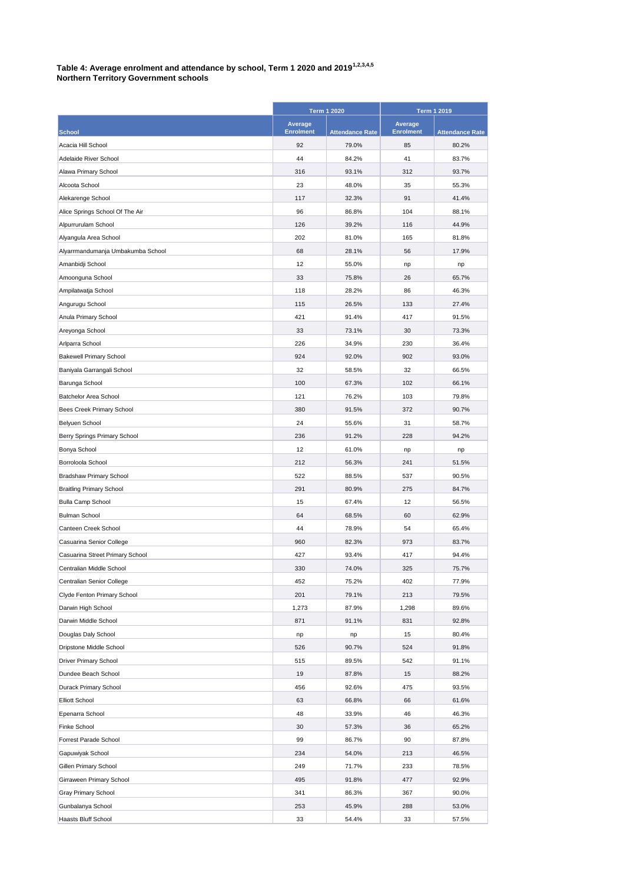|                                                     | <b>Term 1 2020</b>          |                        | <b>Term 1 2019</b>                 |                        |
|-----------------------------------------------------|-----------------------------|------------------------|------------------------------------|------------------------|
| <b>School</b>                                       | Average<br><b>Enrolment</b> | <b>Attendance Rate</b> | <b>Average</b><br><b>Enrolment</b> | <b>Attendance Rate</b> |
| Acacia Hill School                                  | 92                          | 79.0%                  | 85                                 | 80.2%                  |
| Adelaide River School                               | 44                          | 84.2%                  | 41                                 | 83.7%                  |
| Alawa Primary School                                | 316                         | 93.1%                  | 312                                | 93.7%                  |
| Alcoota School                                      | 23                          | 48.0%                  | 35                                 | 55.3%                  |
| Alekarenge School                                   | 117                         | 32.3%                  | 91                                 | 41.4%                  |
| Alice Springs School Of The Air                     | 96                          | 86.8%                  | 104                                | 88.1%                  |
| Alpurrurulam School                                 | 126                         | 39.2%                  | 116                                | 44.9%                  |
| Alyangula Area School                               | 202                         | 81.0%                  | 165                                | 81.8%                  |
| Alyarrmandumanja Umbakumba School                   | 68                          | 28.1%                  | 56                                 | 17.9%                  |
| Amanbidji School                                    | 12                          | 55.0%                  | np                                 | np                     |
| Amoonguna School                                    | 33                          | 75.8%                  | 26                                 | 65.7%                  |
| Ampilatwatja School                                 | 118                         | 28.2%                  | 86                                 | 46.3%                  |
| Angurugu School                                     | 115                         | 26.5%                  | 133                                | 27.4%                  |
| Anula Primary School                                | 421                         | 91.4%                  | 417                                | 91.5%                  |
| Areyonga School                                     | 33                          | 73.1%                  | 30                                 | 73.3%                  |
| Arlparra School                                     | 226                         | 34.9%                  | 230                                | 36.4%                  |
| <b>Bakewell Primary School</b>                      | 924                         | 92.0%                  | 902                                | 93.0%                  |
| Baniyala Garrangali School                          | 32                          | 58.5%                  | 32                                 | 66.5%                  |
| Barunga School                                      | 100                         | 67.3%                  | 102                                | 66.1%                  |
| <b>Batchelor Area School</b>                        | 121                         | 76.2%                  | 103                                | 79.8%                  |
| <b>Bees Creek Primary School</b>                    | 380                         | 91.5%                  | 372                                | 90.7%                  |
| Belyuen School                                      | 24                          | 55.6%                  | 31                                 | 58.7%                  |
| <b>Berry Springs Primary School</b>                 | 236                         | 91.2%                  | 228                                | 94.2%                  |
| Bonya School                                        | 12                          | 61.0%                  | np                                 | np                     |
| Borroloola School                                   | 212                         | 56.3%                  | 241                                | 51.5%                  |
| <b>Bradshaw Primary School</b>                      | 522                         | 88.5%                  | 537                                | 90.5%                  |
| <b>Braitling Primary School</b>                     | 291                         | 80.9%                  | 275                                | 84.7%                  |
| <b>Bulla Camp School</b>                            | 15                          | 67.4%                  | 12                                 | 56.5%                  |
| <b>Bulman School</b>                                | 64                          | 68.5%                  | 60                                 | 62.9%                  |
| Canteen Creek School                                | 44                          | 78.9%                  | 54                                 | 65.4%                  |
| Casuarina Senior College                            | 960                         | 82.3%                  | 973                                | 83.7%                  |
| Casuarina Street Primary School                     | 427                         | 93.4%                  | 417                                | 94.4%                  |
| Centralian Middle School                            | 330                         | 74.0%                  | 325                                | 75.7%                  |
| Centralian Senior College                           | 452                         | 75.2%                  | 402                                | 77.9%                  |
| Clyde Fenton Primary School                         | 201                         | 79.1%                  | 213                                | 79.5%                  |
| Darwin High School                                  | 1,273                       | 87.9%                  | 1,298                              | 89.6%                  |
| Darwin Middle School                                | 871                         | 91.1%                  | 831                                | 92.8%                  |
|                                                     |                             |                        |                                    | 80.4%                  |
| Douglas Daly School<br>Dripstone Middle School      | np<br>526                   | np<br>90.7%            | 15<br>524                          | 91.8%                  |
|                                                     | 515                         | 89.5%                  | 542                                | 91.1%                  |
| <b>Driver Primary School</b><br>Dundee Beach School |                             |                        |                                    | 88.2%                  |
|                                                     | 19                          | 87.8%                  | 15                                 |                        |
| Durack Primary School                               | 456                         | 92.6%                  | 475                                | 93.5%                  |
| <b>Elliott School</b>                               | 63                          | 66.8%                  | 66                                 | 61.6%                  |
| Epenarra School                                     | 48                          | 33.9%                  | 46                                 | 46.3%                  |
| Finke School                                        | 30                          | 57.3%                  | 36                                 | 65.2%                  |
| Forrest Parade School                               | 99                          | 86.7%                  | 90                                 | 87.8%                  |
| Gapuwiyak School                                    | 234                         | 54.0%                  | 213                                | 46.5%                  |
| <b>Gillen Primary School</b>                        | 249                         | 71.7%                  | 233                                | 78.5%                  |
| Girraween Primary School                            | 495                         | 91.8%                  | 477                                | 92.9%                  |
| <b>Gray Primary School</b>                          | 341                         | 86.3%                  | 367                                | 90.0%                  |
| Gunbalanya School                                   | 253                         | 45.9%                  | 288                                | 53.0%                  |
| Haasts Bluff School                                 | 33                          | 54.4%                  | 33                                 | 57.5%                  |

**Table 4: Average enrolment and attendance by school, Term 1 2020 and 20191,2,3,4,5 Northern Territory Government schools**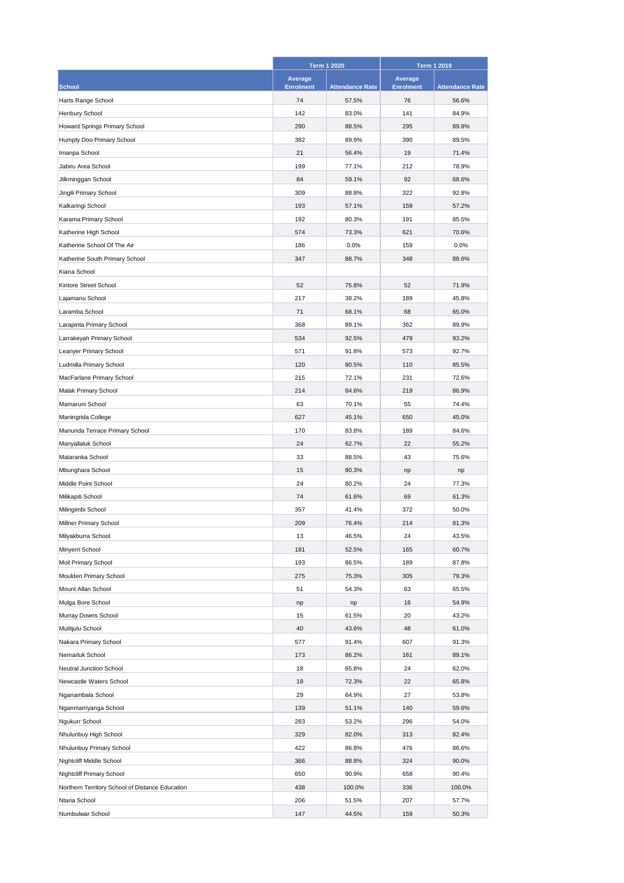|                                                 | <b>Term 1 2020</b>                 |                        | <b>Term 1 2019</b>          |                        |
|-------------------------------------------------|------------------------------------|------------------------|-----------------------------|------------------------|
| <b>School</b>                                   | <b>Average</b><br><b>Enrolment</b> | <b>Attendance Rate</b> | Average<br><b>Enrolment</b> | <b>Attendance Rate</b> |
| Harts Range School                              | 74                                 | 57.5%                  | 76                          | 56.6%                  |
| Henbury School                                  | 142                                | 83.0%                  | 141                         | 84.9%                  |
| Howard Springs Primary School                   | 290                                | 88.5%                  | 295                         | 89.8%                  |
| Humpty Doo Primary School                       | 382                                | 89.9%                  | 390                         | 89.5%                  |
| Imanpa School                                   | 21                                 | 56.4%                  | 19                          | 71.4%                  |
| Jabiru Area School                              | 199                                | 77.1%                  | 212                         | 78.9%                  |
| Jilkminggan School                              | 84                                 | 59.1%                  | 92                          | 68.6%                  |
| Jingili Primary School                          | 309                                | 88.8%                  | 322                         | 92.8%                  |
| Kalkaringi School                               | 193                                | 57.1%                  | 159                         | 57.2%                  |
| Karama Primary School                           | 192                                | 80.3%                  | 191                         | 85.5%                  |
| Katherine High School                           | 574                                | 73.3%                  | 621                         | 70.6%                  |
| Katherine School Of The Air                     | 186                                | 0.0%                   | 159                         | 0.0%                   |
| Katherine South Primary School                  | 347                                | 88.7%                  | 348                         | 88.6%                  |
| Kiana School                                    |                                    |                        |                             |                        |
| Kintore Street School                           | 52                                 | 75.8%                  | 52                          | 71.9%                  |
| Lajamanu School                                 | 217                                | 38.2%                  | 189                         | 45.8%                  |
| Laramba School                                  | 71                                 | 68.1%                  | 68                          | 65.0%                  |
|                                                 | 368                                |                        | 362                         | 89.9%                  |
| Larapinta Primary School                        | 534                                | 89.1%                  | 479                         | 93.2%                  |
| Larrakeyah Primary School                       |                                    | 92.5%                  |                             |                        |
| Leanyer Primary School                          | 571                                | 91.8%                  | 573                         | 92.7%                  |
| Ludmilla Primary School                         | 120                                | 80.5%                  | 110                         | 85.5%                  |
| MacFarlane Primary School                       | 215                                | 72.1%                  | 231                         | 72.6%                  |
| Malak Primary School                            | 214                                | 84.6%                  | 219                         | 86.9%                  |
| Mamaruni School                                 | 63                                 | 70.1%                  | 55                          | 74.4%                  |
| Maningrida College                              | 627                                | 45.1%                  | 650                         | 45.0%                  |
| Manunda Terrace Primary School                  | 170                                | 83.8%                  | 189                         | 84.6%                  |
| Manyallaluk School                              | 24                                 | 62.7%                  | 22                          | 55.2%                  |
| Mataranka School                                | 33                                 | 88.5%                  | 43                          | 75.6%                  |
| Mbunghara School                                | 15                                 | 80.3%                  | np                          | np                     |
| Middle Point School                             | 24                                 | 80.2%                  | 24                          | 77.3%                  |
| Milikapiti School                               | 74                                 | 61.6%                  | 69                          | 61.3%                  |
| Milingimbi School                               | 357                                | 41.4%                  | 372                         | 50.0%                  |
| Millner Primary School                          | 209                                | 76.4%                  | 214                         | 81.3%                  |
| Milyakburra School                              | 13                                 | 46.5%                  | 24                          | 43.5%                  |
| Minyerri School                                 | 181                                | 52.5%                  | 165                         | 60.7%                  |
| Moil Primary School                             | 193                                | 86.5%                  | 189                         | 87.8%                  |
| Moulden Primary School                          | 275                                | 75.3%                  | 305                         | 79.3%                  |
| Mount Allan School                              | 51                                 | 54.3%                  | 63                          | 65.5%                  |
| Mulga Bore School                               | np                                 | np                     | 16                          | 54.9%                  |
| Murray Downs School                             | 15                                 | 61.5%                  | 20                          | 43.2%                  |
| Mutitjulu School                                | 40                                 | 43.6%                  | 48                          | 61.0%                  |
| Nakara Primary School                           | 577                                | 91.4%                  | 607                         | 91.3%                  |
| Nemarluk School                                 | 173                                | 86.2%                  | 161                         | 89.1%                  |
| <b>Neutral Junction School</b>                  | 18                                 | 65.8%                  | 24                          | 62.0%                  |
| Newcastle Waters School                         | 18                                 | 72.3%                  | 22                          | 65.8%                  |
| Nganambala School                               | 29                                 | 64.9%                  | 27                          | 53.8%                  |
| Nganmarriyanga School                           | 139                                | 51.1%                  | 140                         | 59.6%                  |
| Ngukurr School                                  | 283                                | 53.2%                  | 296                         | 54.0%                  |
| Nhulunbuy High School                           | 329                                | 82.0%                  | 313                         | 82.4%                  |
| Nhulunbuy Primary School                        | 422                                | 86.8%                  | 476                         | 86.6%                  |
| Nightcliff Middle School                        | 366                                | 88.8%                  | 324                         | 90.0%                  |
| <b>Nightcliff Primary School</b>                | 650                                | 90.9%                  | 658                         | 90.4%                  |
| Northern Territory School of Distance Education | 438                                | 100.0%                 | 336                         | 100.0%                 |
| Ntaria School                                   | 206                                | 51.5%                  | 207                         | 57.7%                  |
| Numbulwar School                                | 147                                | 44.5%                  | 159                         | 50.3%                  |